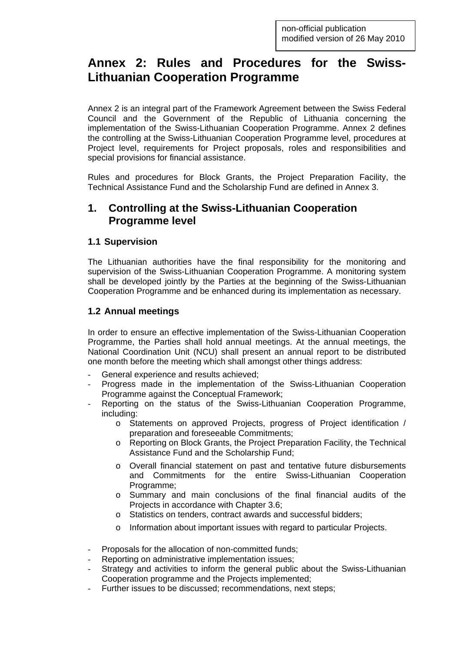# **Annex 2: Rules and Procedures for the Swiss-Lithuanian Cooperation Programme**

Annex 2 is an integral part of the Framework Agreement between the Swiss Federal Council and the Government of the Republic of Lithuania concerning the implementation of the Swiss-Lithuanian Cooperation Programme. Annex 2 defines the controlling at the Swiss-Lithuanian Cooperation Programme level, procedures at Project level, requirements for Project proposals, roles and responsibilities and special provisions for financial assistance.

Rules and procedures for Block Grants, the Project Preparation Facility, the Technical Assistance Fund and the Scholarship Fund are defined in Annex 3.

## **1. Controlling at the Swiss-Lithuanian Cooperation Programme level**

### **1.1 Supervision**

The Lithuanian authorities have the final responsibility for the monitoring and supervision of the Swiss-Lithuanian Cooperation Programme. A monitoring system shall be developed jointly by the Parties at the beginning of the Swiss-Lithuanian Cooperation Programme and be enhanced during its implementation as necessary.

### **1.2 Annual meetings**

In order to ensure an effective implementation of the Swiss-Lithuanian Cooperation Programme, the Parties shall hold annual meetings. At the annual meetings, the National Coordination Unit (NCU) shall present an annual report to be distributed one month before the meeting which shall amongst other things address:

- General experience and results achieved;
- Progress made in the implementation of the Swiss-Lithuanian Cooperation Programme against the Conceptual Framework;
- Reporting on the status of the Swiss-Lithuanian Cooperation Programme, including:
	- o Statements on approved Projects, progress of Project identification / preparation and foreseeable Commitments;
	- o Reporting on Block Grants, the Project Preparation Facility, the Technical Assistance Fund and the Scholarship Fund;
	- o Overall financial statement on past and tentative future disbursements and Commitments for the entire Swiss-Lithuanian Cooperation Programme;
	- o Summary and main conclusions of the final financial audits of the Projects in accordance with Chapter 3.6;
	- o Statistics on tenders, contract awards and successful bidders;
	- o Information about important issues with regard to particular Projects.
- Proposals for the allocation of non-committed funds:
- Reporting on administrative implementation issues;
- Strategy and activities to inform the general public about the Swiss-Lithuanian Cooperation programme and the Projects implemented;
- Further issues to be discussed; recommendations, next steps;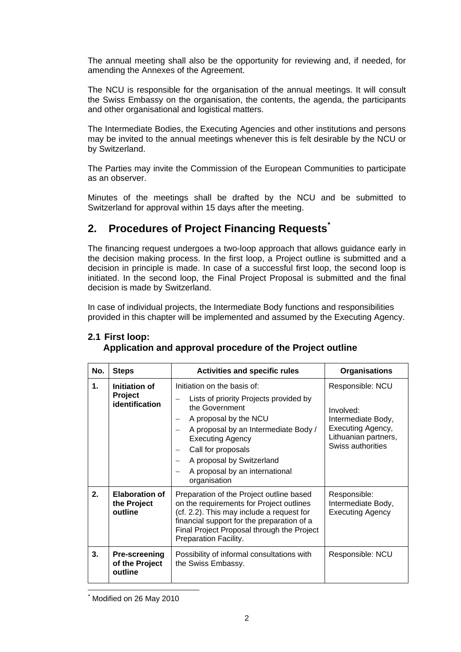The annual meeting shall also be the opportunity for reviewing and, if needed, for amending the Annexes of the Agreement.

The NCU is responsible for the organisation of the annual meetings. It will consult the Swiss Embassy on the organisation, the contents, the agenda, the participants and other organisational and logistical matters.

The Intermediate Bodies, the Executing Agencies and other institutions and persons may be invited to the annual meetings whenever this is felt desirable by the NCU or by Switzerland.

The Parties may invite the Commission of the European Communities to participate as an observer.

Minutes of the meetings shall be drafted by the NCU and be submitted to Switzerland for approval within 15 days after the meeting.

# **2. Procedures of Project Financing Requests[\\*](#page-1-0)**

The financing request undergoes a two-loop approach that allows guidance early in the decision making process. In the first loop, a Project outline is submitted and a decision in principle is made. In case of a successful first loop, the second loop is initiated. In the second loop, the Final Project Proposal is submitted and the final decision is made by Switzerland.

In case of individual projects, the Intermediate Body functions and responsibilities provided in this chapter will be implemented and assumed by the Executing Agency.

| No. | <b>Steps</b>                                      | <b>Activities and specific rules</b>                                                                                                                                                                                                                                                     | <b>Organisations</b>                                                                                                  |
|-----|---------------------------------------------------|------------------------------------------------------------------------------------------------------------------------------------------------------------------------------------------------------------------------------------------------------------------------------------------|-----------------------------------------------------------------------------------------------------------------------|
| 1.  | Initiation of<br>Project<br>identification        | Initiation on the basis of:<br>Lists of priority Projects provided by<br>the Government<br>A proposal by the NCU<br>A proposal by an Intermediate Body /<br><b>Executing Agency</b><br>Call for proposals<br>A proposal by Switzerland<br>A proposal by an international<br>organisation | Responsible: NCU<br>Involved:<br>Intermediate Body,<br>Executing Agency,<br>Lithuanian partners,<br>Swiss authorities |
| 2.  | <b>Elaboration of</b><br>the Project<br>outline   | Preparation of the Project outline based<br>on the requirements for Project outlines<br>(cf. 2.2). This may include a request for<br>financial support for the preparation of a<br>Final Project Proposal through the Project<br>Preparation Facility.                                   | Responsible:<br>Intermediate Body,<br><b>Executing Agency</b>                                                         |
| 3.  | <b>Pre-screening</b><br>of the Project<br>outline | Possibility of informal consultations with<br>the Swiss Embassy.                                                                                                                                                                                                                         | Responsible: NCU                                                                                                      |

# **2.1 First loop:**

| ___________ |                                                           |  |
|-------------|-----------------------------------------------------------|--|
|             | Application and approval procedure of the Project outline |  |

<span id="page-1-0"></span> $\overline{a}$ Modified on 26 May 2010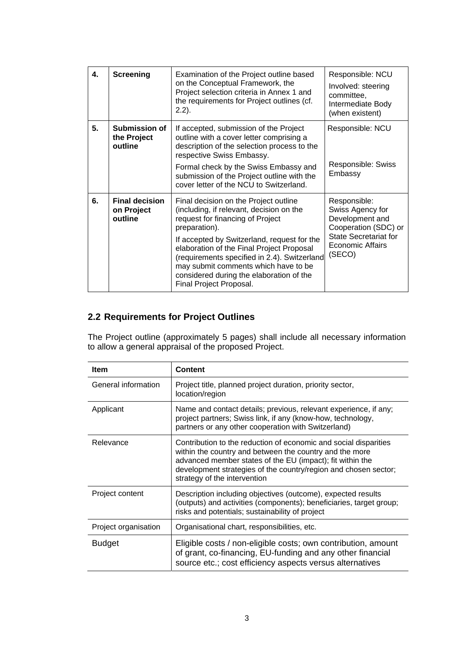| 4. | <b>Screening</b>                               | Examination of the Project outline based<br>on the Conceptual Framework, the<br>Project selection criteria in Annex 1 and<br>the requirements for Project outlines (cf.<br>$2.2$ ).                                                                                                                                                                                                               | Responsible: NCU<br>Involved: steering<br>committee.<br>Intermediate Body<br>(when existent)                                                     |
|----|------------------------------------------------|---------------------------------------------------------------------------------------------------------------------------------------------------------------------------------------------------------------------------------------------------------------------------------------------------------------------------------------------------------------------------------------------------|--------------------------------------------------------------------------------------------------------------------------------------------------|
| 5. | Submission of<br>the Project<br>outline        | If accepted, submission of the Project<br>outline with a cover letter comprising a<br>description of the selection process to the<br>respective Swiss Embassy.<br>Formal check by the Swiss Embassy and<br>submission of the Project outline with the<br>cover letter of the NCU to Switzerland.                                                                                                  | Responsible: NCU<br>Responsible: Swiss<br>Embassy                                                                                                |
| 6. | <b>Final decision</b><br>on Project<br>outline | Final decision on the Project outline<br>(including, if relevant, decision on the<br>request for financing of Project<br>preparation).<br>If accepted by Switzerland, request for the<br>elaboration of the Final Project Proposal<br>(requirements specified in 2.4). Switzerland<br>may submit comments which have to be<br>considered during the elaboration of the<br>Final Project Proposal. | Responsible:<br>Swiss Agency for<br>Development and<br>Cooperation (SDC) or<br><b>State Secretariat for</b><br><b>Economic Affairs</b><br>(SECO) |

# **2.2 Requirements for Project Outlines**

The Project outline (approximately 5 pages) shall include all necessary information to allow a general appraisal of the proposed Project.

| Item                                                                                                                                                                                                     | <b>Content</b>                                                                                                                                                                                                                                                                              |  |
|----------------------------------------------------------------------------------------------------------------------------------------------------------------------------------------------------------|---------------------------------------------------------------------------------------------------------------------------------------------------------------------------------------------------------------------------------------------------------------------------------------------|--|
| General information                                                                                                                                                                                      | Project title, planned project duration, priority sector,<br>location/region                                                                                                                                                                                                                |  |
| Applicant                                                                                                                                                                                                | Name and contact details; previous, relevant experience, if any;<br>project partners; Swiss link, if any (know-how, technology,<br>partners or any other cooperation with Switzerland)                                                                                                      |  |
| Relevance                                                                                                                                                                                                | Contribution to the reduction of economic and social disparities<br>within the country and between the country and the more<br>advanced member states of the EU (impact); fit within the<br>development strategies of the country/region and chosen sector;<br>strategy of the intervention |  |
| Project content                                                                                                                                                                                          | Description including objectives (outcome), expected results<br>(outputs) and activities (components); beneficiaries, target group;<br>risks and potentials; sustainability of project                                                                                                      |  |
| Project organisation                                                                                                                                                                                     | Organisational chart, responsibilities, etc.                                                                                                                                                                                                                                                |  |
| Eligible costs / non-eligible costs; own contribution, amount<br><b>Budget</b><br>of grant, co-financing, EU-funding and any other financial<br>source etc.; cost efficiency aspects versus alternatives |                                                                                                                                                                                                                                                                                             |  |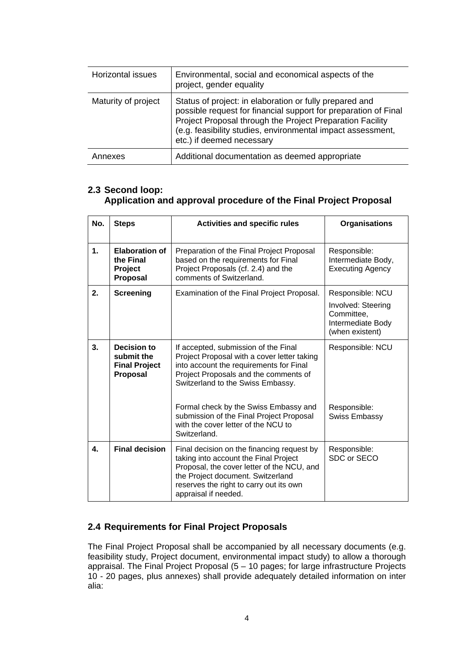| Horizontal issues   | Environmental, social and economical aspects of the<br>project, gender equality                                                                                                                                                                                                     |
|---------------------|-------------------------------------------------------------------------------------------------------------------------------------------------------------------------------------------------------------------------------------------------------------------------------------|
| Maturity of project | Status of project: in elaboration or fully prepared and<br>possible request for financial support for preparation of Final<br>Project Proposal through the Project Preparation Facility<br>(e.g. feasibility studies, environmental impact assessment,<br>etc.) if deemed necessary |
| Annexes             | Additional documentation as deemed appropriate                                                                                                                                                                                                                                      |

### **2.3 Second loop: Application and approval procedure of the Final Project Proposal**

| No. | <b>Steps</b>                                                         | <b>Activities and specific rules</b>                                                                                                                                                                                                      | <b>Organisations</b>                                          |
|-----|----------------------------------------------------------------------|-------------------------------------------------------------------------------------------------------------------------------------------------------------------------------------------------------------------------------------------|---------------------------------------------------------------|
| 1.  | <b>Elaboration of</b><br>the Final<br>Project<br><b>Proposal</b>     | Preparation of the Final Project Proposal<br>based on the requirements for Final<br>Project Proposals (cf. 2.4) and the<br>comments of Switzerland.                                                                                       | Responsible:<br>Intermediate Body,<br><b>Executing Agency</b> |
| 2.  | <b>Screening</b>                                                     | Examination of the Final Project Proposal.                                                                                                                                                                                                | Responsible: NCU<br>Involved: Steering                        |
|     |                                                                      |                                                                                                                                                                                                                                           | Committee,<br>Intermediate Body<br>(when existent)            |
| 3.  | Decision to<br>submit the<br><b>Final Project</b><br><b>Proposal</b> | If accepted, submission of the Final<br>Project Proposal with a cover letter taking<br>into account the requirements for Final<br>Project Proposals and the comments of<br>Switzerland to the Swiss Embassy.                              | Responsible: NCU                                              |
|     |                                                                      | Formal check by the Swiss Embassy and<br>submission of the Final Project Proposal<br>with the cover letter of the NCU to<br>Switzerland.                                                                                                  | Responsible:<br>Swiss Embassy                                 |
| 4.  | <b>Final decision</b>                                                | Final decision on the financing request by<br>taking into account the Final Project<br>Proposal, the cover letter of the NCU, and<br>the Project document. Switzerland<br>reserves the right to carry out its own<br>appraisal if needed. | Responsible:<br>SDC or SECO                                   |

## **2.4 Requirements for Final Project Proposals**

The Final Project Proposal shall be accompanied by all necessary documents (e.g. feasibility study, Project document, environmental impact study) to allow a thorough appraisal. The Final Project Proposal (5 – 10 pages; for large infrastructure Projects 10 - 20 pages, plus annexes) shall provide adequately detailed information on inter alia: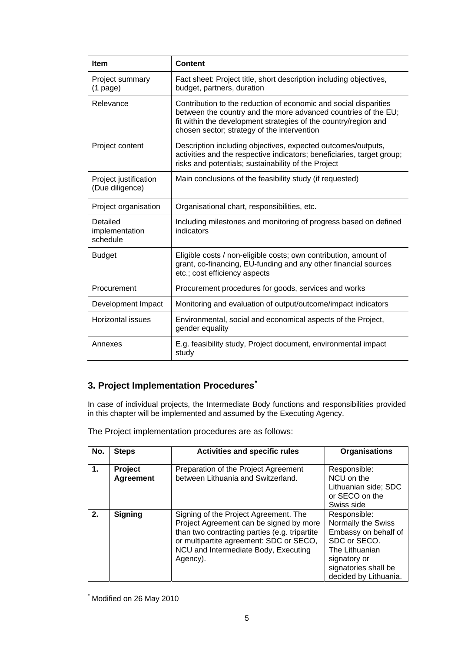| <b>Item</b>                                                                                                                                                                           | <b>Content</b>                                                                                                                                                                                                                                       |  |
|---------------------------------------------------------------------------------------------------------------------------------------------------------------------------------------|------------------------------------------------------------------------------------------------------------------------------------------------------------------------------------------------------------------------------------------------------|--|
| Project summary<br>$(1$ page)                                                                                                                                                         | Fact sheet: Project title, short description including objectives,<br>budget, partners, duration                                                                                                                                                     |  |
| Relevance                                                                                                                                                                             | Contribution to the reduction of economic and social disparities<br>between the country and the more advanced countries of the EU;<br>fit within the development strategies of the country/region and<br>chosen sector; strategy of the intervention |  |
| Project content                                                                                                                                                                       | Description including objectives, expected outcomes/outputs,<br>activities and the respective indicators; beneficiaries, target group;<br>risks and potentials; sustainability of the Project                                                        |  |
| Project justification<br>(Due diligence)                                                                                                                                              | Main conclusions of the feasibility study (if requested)                                                                                                                                                                                             |  |
| Project organisation                                                                                                                                                                  | Organisational chart, responsibilities, etc.                                                                                                                                                                                                         |  |
| Detailed<br>implementation<br>schedule                                                                                                                                                | Including milestones and monitoring of progress based on defined<br>indicators                                                                                                                                                                       |  |
| <b>Budget</b><br>Eligible costs / non-eligible costs; own contribution, amount of<br>grant, co-financing, EU-funding and any other financial sources<br>etc.; cost efficiency aspects |                                                                                                                                                                                                                                                      |  |
| Procurement                                                                                                                                                                           | Procurement procedures for goods, services and works                                                                                                                                                                                                 |  |
| Development Impact                                                                                                                                                                    | Monitoring and evaluation of output/outcome/impact indicators                                                                                                                                                                                        |  |
| Horizontal issues                                                                                                                                                                     | Environmental, social and economical aspects of the Project,<br>gender equality                                                                                                                                                                      |  |
| Annexes                                                                                                                                                                               | E.g. feasibility study, Project document, environmental impact<br>study                                                                                                                                                                              |  |

# **3. Project Implementation Procedures[\\*](#page-4-0)**

In case of individual projects, the Intermediate Body functions and responsibilities provided in this chapter will be implemented and assumed by the Executing Agency.

| No. | <b>Steps</b>                | <b>Activities and specific rules</b>                                                                                                                                                                                             | <b>Organisations</b>                                                                                                                                          |
|-----|-----------------------------|----------------------------------------------------------------------------------------------------------------------------------------------------------------------------------------------------------------------------------|---------------------------------------------------------------------------------------------------------------------------------------------------------------|
| 1.  | Project<br><b>Agreement</b> | Preparation of the Project Agreement<br>between Lithuania and Switzerland.                                                                                                                                                       | Responsible:<br>NCU on the<br>Lithuanian side; SDC<br>or SECO on the<br>Swiss side                                                                            |
| 2.  | <b>Signing</b>              | Signing of the Project Agreement. The<br>Project Agreement can be signed by more<br>than two contracting parties (e.g. tripartite<br>or multipartite agreement: SDC or SECO,<br>NCU and Intermediate Body, Executing<br>Agency). | Responsible:<br>Normally the Swiss<br>Embassy on behalf of<br>SDC or SECO.<br>The Lithuanian<br>signatory or<br>signatories shall be<br>decided by Lithuania. |

The Project implementation procedures are as follows:

<span id="page-4-0"></span> $\overline{a}$ \* Modified on 26 May 2010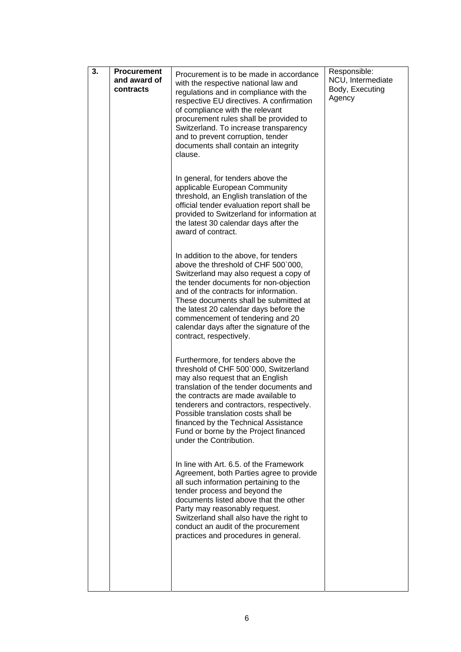| 3. | <b>Procurement</b>        | Procurement is to be made in accordance                                                                                                                                                                                                                                                                                                                                                                 | Responsible:                                   |
|----|---------------------------|---------------------------------------------------------------------------------------------------------------------------------------------------------------------------------------------------------------------------------------------------------------------------------------------------------------------------------------------------------------------------------------------------------|------------------------------------------------|
|    | and award of<br>contracts | with the respective national law and<br>regulations and in compliance with the<br>respective EU directives. A confirmation<br>of compliance with the relevant<br>procurement rules shall be provided to<br>Switzerland. To increase transparency<br>and to prevent corruption, tender<br>documents shall contain an integrity<br>clause.                                                                | NCU, Intermediate<br>Body, Executing<br>Agency |
|    |                           |                                                                                                                                                                                                                                                                                                                                                                                                         |                                                |
|    |                           | In general, for tenders above the<br>applicable European Community<br>threshold, an English translation of the<br>official tender evaluation report shall be<br>provided to Switzerland for information at<br>the latest 30 calendar days after the<br>award of contract.                                                                                                                               |                                                |
|    |                           | In addition to the above, for tenders<br>above the threshold of CHF 500`000,<br>Switzerland may also request a copy of<br>the tender documents for non-objection<br>and of the contracts for information.<br>These documents shall be submitted at<br>the latest 20 calendar days before the<br>commencement of tendering and 20<br>calendar days after the signature of the<br>contract, respectively. |                                                |
|    |                           | Furthermore, for tenders above the<br>threshold of CHF 500`000, Switzerland<br>may also request that an English<br>translation of the tender documents and<br>the contracts are made available to<br>tenderers and contractors, respectively.<br>Possible translation costs shall be<br>financed by the Technical Assistance<br>Fund or borne by the Project financed<br>under the Contribution.        |                                                |
|    |                           | In line with Art. 6.5, of the Framework<br>Agreement, both Parties agree to provide<br>all such information pertaining to the<br>tender process and beyond the<br>documents listed above that the other<br>Party may reasonably request.<br>Switzerland shall also have the right to<br>conduct an audit of the procurement<br>practices and procedures in general.                                     |                                                |
|    |                           |                                                                                                                                                                                                                                                                                                                                                                                                         |                                                |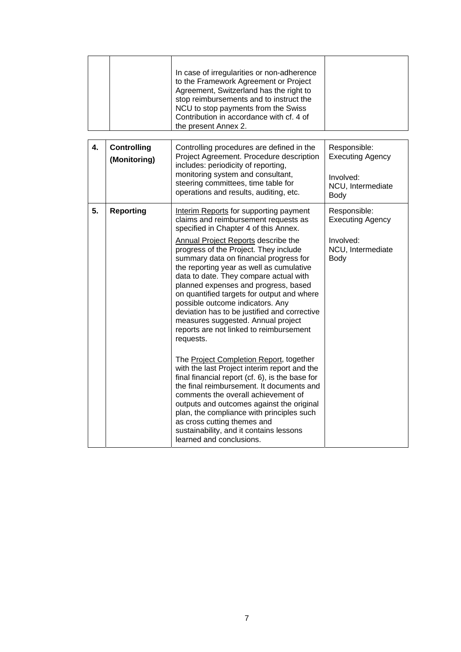|    |                                    | In case of irregularities or non-adherence<br>to the Framework Agreement or Project<br>Agreement, Switzerland has the right to<br>stop reimbursements and to instruct the<br>NCU to stop payments from the Swiss<br>Contribution in accordance with cf. 4 of<br>the present Annex 2.                                                                                                                                                                                                                                                                                                                                                                                                                                                                                                                                                                                                                                                                                                                                                                     |                                                                                          |
|----|------------------------------------|----------------------------------------------------------------------------------------------------------------------------------------------------------------------------------------------------------------------------------------------------------------------------------------------------------------------------------------------------------------------------------------------------------------------------------------------------------------------------------------------------------------------------------------------------------------------------------------------------------------------------------------------------------------------------------------------------------------------------------------------------------------------------------------------------------------------------------------------------------------------------------------------------------------------------------------------------------------------------------------------------------------------------------------------------------|------------------------------------------------------------------------------------------|
| 4. | <b>Controlling</b><br>(Monitoring) | Controlling procedures are defined in the<br>Project Agreement. Procedure description<br>includes: periodicity of reporting,<br>monitoring system and consultant,<br>steering committees, time table for<br>operations and results, auditing, etc.                                                                                                                                                                                                                                                                                                                                                                                                                                                                                                                                                                                                                                                                                                                                                                                                       | Responsible:<br><b>Executing Agency</b><br>Involved:<br>NCU, Intermediate<br>Body        |
| 5. | <b>Reporting</b>                   | Interim Reports for supporting payment<br>claims and reimbursement requests as<br>specified in Chapter 4 of this Annex.<br><b>Annual Project Reports describe the</b><br>progress of the Project. They include<br>summary data on financial progress for<br>the reporting year as well as cumulative<br>data to date. They compare actual with<br>planned expenses and progress, based<br>on quantified targets for output and where<br>possible outcome indicators. Any<br>deviation has to be justified and corrective<br>measures suggested. Annual project<br>reports are not linked to reimbursement<br>requests.<br>The Project Completion Report, together<br>with the last Project interim report and the<br>final financial report (cf. 6), is the base for<br>the final reimbursement. It documents and<br>comments the overall achievement of<br>outputs and outcomes against the original<br>plan, the compliance with principles such<br>as cross cutting themes and<br>sustainability, and it contains lessons<br>learned and conclusions. | Responsible:<br><b>Executing Agency</b><br>Involved:<br>NCU, Intermediate<br><b>Body</b> |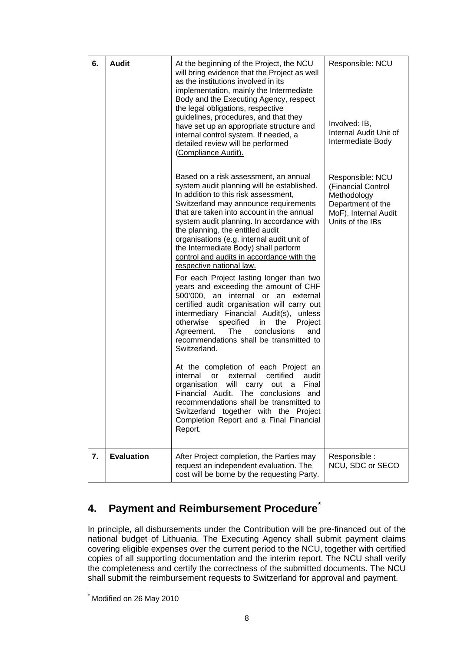| 6. | <b>Audit</b>      | At the beginning of the Project, the NCU<br>will bring evidence that the Project as well<br>as the institutions involved in its<br>implementation, mainly the Intermediate<br>Body and the Executing Agency, respect<br>the legal obligations, respective<br>guidelines, procedures, and that they<br>have set up an appropriate structure and<br>internal control system. If needed, a<br>detailed review will be performed<br>(Compliance Audit).                                                                                                                                                                                                                                                                                                                                                                                                                                                                                                                                                                                                                                                                                                                               | Responsible: NCU<br>Involved: IB,<br>Internal Audit Unit of<br>Intermediate Body                                       |
|----|-------------------|-----------------------------------------------------------------------------------------------------------------------------------------------------------------------------------------------------------------------------------------------------------------------------------------------------------------------------------------------------------------------------------------------------------------------------------------------------------------------------------------------------------------------------------------------------------------------------------------------------------------------------------------------------------------------------------------------------------------------------------------------------------------------------------------------------------------------------------------------------------------------------------------------------------------------------------------------------------------------------------------------------------------------------------------------------------------------------------------------------------------------------------------------------------------------------------|------------------------------------------------------------------------------------------------------------------------|
|    |                   | Based on a risk assessment, an annual<br>system audit planning will be established.<br>In addition to this risk assessment,<br>Switzerland may announce requirements<br>that are taken into account in the annual<br>system audit planning. In accordance with<br>the planning, the entitled audit<br>organisations (e.g. internal audit unit of<br>the Intermediate Body) shall perform<br>control and audits in accordance with the<br>respective national law.<br>For each Project lasting longer than two<br>years and exceeding the amount of CHF<br>500'000, an internal or an external<br>certified audit organisation will carry out<br>intermediary Financial Audit(s), unless<br>otherwise specified<br>in<br>the<br>Project<br>Agreement.<br>The<br>conclusions<br>and<br>recommendations shall be transmitted to<br>Switzerland.<br>At the completion of each Project an<br>internal<br>certified<br><b>or</b><br>external<br>audit<br>will carry<br>organisation<br>Final<br>out a<br>Financial Audit. The conclusions and<br>recommendations shall be transmitted to<br>Switzerland together with the Project<br>Completion Report and a Final Financial<br>Report. | Responsible: NCU<br>(Financial Control<br>Methodology<br>Department of the<br>MoF), Internal Audit<br>Units of the IBs |
| 7. | <b>Evaluation</b> | After Project completion, the Parties may<br>request an independent evaluation. The<br>cost will be borne by the requesting Party.                                                                                                                                                                                                                                                                                                                                                                                                                                                                                                                                                                                                                                                                                                                                                                                                                                                                                                                                                                                                                                                | Responsible :<br>NCU, SDC or SECO                                                                                      |

# **4. Payment and Reimbursement Procedure[\\*](#page-7-0)**

In principle, all disbursements under the Contribution will be pre-financed out of the national budget of Lithuania. The Executing Agency shall submit payment claims covering eligible expenses over the current period to the NCU, together with certified copies of all supporting documentation and the interim report. The NCU shall verify the completeness and certify the correctness of the submitted documents. The NCU shall submit the reimbursement requests to Switzerland for approval and payment.

 $\overline{a}$ 

<span id="page-7-0"></span><sup>\*</sup> Modified on 26 May 2010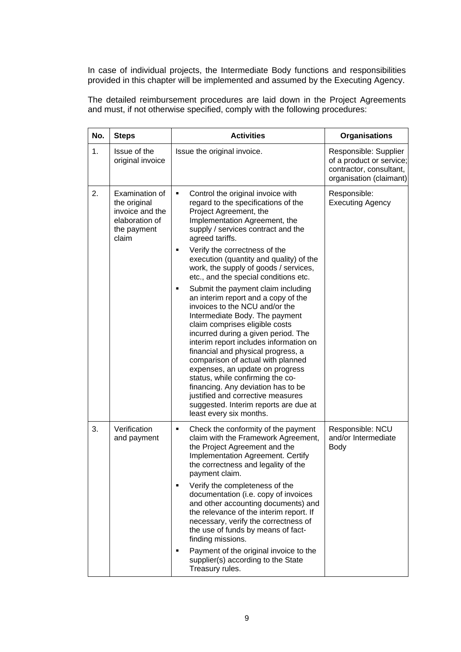In case of individual projects, the Intermediate Body functions and responsibilities provided in this chapter will be implemented and assumed by the Executing Agency.

The detailed reimbursement procedures are laid down in the Project Agreements and must, if not otherwise specified, comply with the following procedures:

| No. | <b>Steps</b>                                                                                | <b>Activities</b>                                                                                                                                                                                                                                                                                                                                                                                                                                                                                                                                                                                                                                                                                                                                                                                                                                                                                                                         | <b>Organisations</b>                                                                                    |
|-----|---------------------------------------------------------------------------------------------|-------------------------------------------------------------------------------------------------------------------------------------------------------------------------------------------------------------------------------------------------------------------------------------------------------------------------------------------------------------------------------------------------------------------------------------------------------------------------------------------------------------------------------------------------------------------------------------------------------------------------------------------------------------------------------------------------------------------------------------------------------------------------------------------------------------------------------------------------------------------------------------------------------------------------------------------|---------------------------------------------------------------------------------------------------------|
| 1.  | Issue of the<br>original invoice                                                            | Issue the original invoice.                                                                                                                                                                                                                                                                                                                                                                                                                                                                                                                                                                                                                                                                                                                                                                                                                                                                                                               | Responsible: Supplier<br>of a product or service;<br>contractor, consultant,<br>organisation (claimant) |
| 2.  | Examination of<br>the original<br>invoice and the<br>elaboration of<br>the payment<br>claim | Control the original invoice with<br>٠<br>regard to the specifications of the<br>Project Agreement, the<br>Implementation Agreement, the<br>supply / services contract and the<br>agreed tariffs.<br>Verify the correctness of the<br>٠<br>execution (quantity and quality) of the<br>work, the supply of goods / services,<br>etc., and the special conditions etc.<br>Submit the payment claim including<br>an interim report and a copy of the<br>invoices to the NCU and/or the<br>Intermediate Body. The payment<br>claim comprises eligible costs<br>incurred during a given period. The<br>interim report includes information on<br>financial and physical progress, a<br>comparison of actual with planned<br>expenses, an update on progress<br>status, while confirming the co-<br>financing. Any deviation has to be<br>justified and corrective measures<br>suggested. Interim reports are due at<br>least every six months. | Responsible:<br><b>Executing Agency</b>                                                                 |
| 3.  | Verification<br>and payment                                                                 | Check the conformity of the payment<br>٠<br>claim with the Framework Agreement,<br>the Project Agreement and the<br>Implementation Agreement. Certify<br>the correctness and legality of the<br>payment claim.<br>Verify the completeness of the<br>documentation (i.e. copy of invoices<br>and other accounting documents) and<br>the relevance of the interim report. If<br>necessary, verify the correctness of<br>the use of funds by means of fact-<br>finding missions.<br>Payment of the original invoice to the<br>п<br>supplier(s) according to the State<br>Treasury rules.                                                                                                                                                                                                                                                                                                                                                     | Responsible: NCU<br>and/or Intermediate<br>Body                                                         |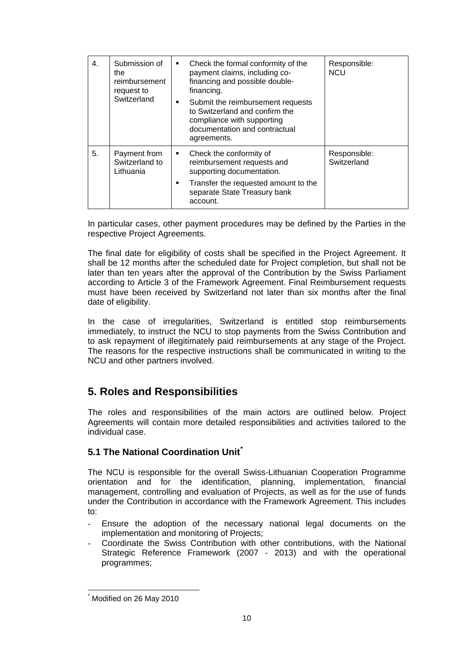| 4. | Submission of<br>the<br>reimbursement<br>request to<br>Switzerland | Check the formal conformity of the<br>payment claims, including co-<br>financing and possible double-<br>financing.<br>Submit the reimbursement requests<br>. .<br>to Switzerland and confirm the<br>compliance with supporting<br>documentation and contractual<br>agreements. | Responsible:<br><b>NCU</b>  |
|----|--------------------------------------------------------------------|---------------------------------------------------------------------------------------------------------------------------------------------------------------------------------------------------------------------------------------------------------------------------------|-----------------------------|
| 5. | Payment from<br>Switzerland to<br>Lithuania                        | Check the conformity of<br>reimbursement requests and<br>supporting documentation.<br>Transfer the requested amount to the<br>٠<br>separate State Treasury bank<br>account.                                                                                                     | Responsible:<br>Switzerland |

In particular cases, other payment procedures may be defined by the Parties in the respective Project Agreements.

The final date for eligibility of costs shall be specified in the Project Agreement. It shall be 12 months after the scheduled date for Project completion, but shall not be later than ten years after the approval of the Contribution by the Swiss Parliament according to Article 3 of the Framework Agreement. Final Reimbursement requests must have been received by Switzerland not later than six months after the final date of eligibility.

In the case of irregularities, Switzerland is entitled stop reimbursements immediately, to instruct the NCU to stop payments from the Swiss Contribution and to ask repayment of illegitimately paid reimbursements at any stage of the Project. The reasons for the respective instructions shall be communicated in writing to the NCU and other partners involved.

# **5. Roles and Responsibilities**

The roles and responsibilities of the main actors are outlined below. Project Agreements will contain more detailed responsibilities and activities tailored to the individual case.

# **5.1 The National Coordination Unit[\\*](#page-9-0)**

The NCU is responsible for the overall Swiss-Lithuanian Cooperation Programme orientation and for the identification, planning, implementation, financial management, controlling and evaluation of Projects, as well as for the use of funds under the Contribution in accordance with the Framework Agreement. This includes to:

- Ensure the adoption of the necessary national legal documents on the implementation and monitoring of Projects;
- Coordinate the Swiss Contribution with other contributions, with the National Strategic Reference Framework (2007 - 2013) and with the operational programmes;

 $\overline{a}$ 

<span id="page-9-0"></span><sup>\*</sup> Modified on 26 May 2010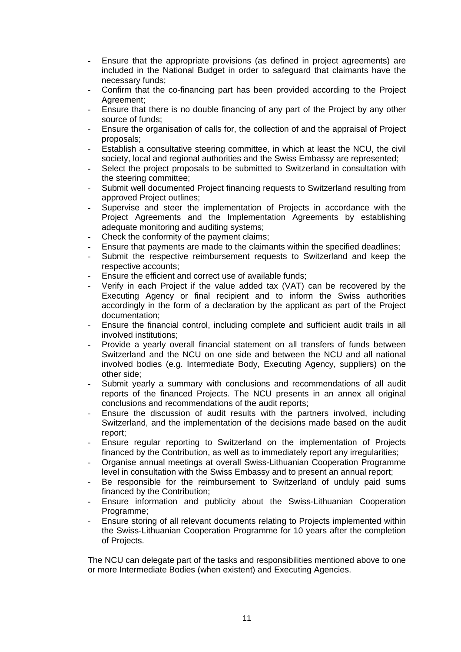- Ensure that the appropriate provisions (as defined in project agreements) are included in the National Budget in order to safeguard that claimants have the necessary funds;
- Confirm that the co-financing part has been provided according to the Project Agreement;
- Ensure that there is no double financing of any part of the Project by any other source of funds;
- Ensure the organisation of calls for, the collection of and the appraisal of Project proposals;
- Establish a consultative steering committee, in which at least the NCU, the civil society, local and regional authorities and the Swiss Embassy are represented;
- Select the project proposals to be submitted to Switzerland in consultation with the steering committee;
- Submit well documented Project financing requests to Switzerland resulting from approved Project outlines;
- Supervise and steer the implementation of Projects in accordance with the Project Agreements and the Implementation Agreements by establishing adequate monitoring and auditing systems;
- Check the conformity of the payment claims;
- Ensure that payments are made to the claimants within the specified deadlines;
- Submit the respective reimbursement requests to Switzerland and keep the respective accounts;
- Ensure the efficient and correct use of available funds:
- Verify in each Project if the value added tax (VAT) can be recovered by the Executing Agency or final recipient and to inform the Swiss authorities accordingly in the form of a declaration by the applicant as part of the Project documentation;
- Ensure the financial control, including complete and sufficient audit trails in all involved institutions;
- Provide a yearly overall financial statement on all transfers of funds between Switzerland and the NCU on one side and between the NCU and all national involved bodies (e.g. Intermediate Body, Executing Agency, suppliers) on the other side;
- Submit yearly a summary with conclusions and recommendations of all audit reports of the financed Projects. The NCU presents in an annex all original conclusions and recommendations of the audit reports;
- Ensure the discussion of audit results with the partners involved, including Switzerland, and the implementation of the decisions made based on the audit report;
- Ensure regular reporting to Switzerland on the implementation of Projects financed by the Contribution, as well as to immediately report any irregularities;
- Organise annual meetings at overall Swiss-Lithuanian Cooperation Programme level in consultation with the Swiss Embassy and to present an annual report;
- Be responsible for the reimbursement to Switzerland of unduly paid sums financed by the Contribution;
- Ensure information and publicity about the Swiss-Lithuanian Cooperation Programme;
- Ensure storing of all relevant documents relating to Projects implemented within the Swiss-Lithuanian Cooperation Programme for 10 years after the completion of Projects.

The NCU can delegate part of the tasks and responsibilities mentioned above to one or more Intermediate Bodies (when existent) and Executing Agencies.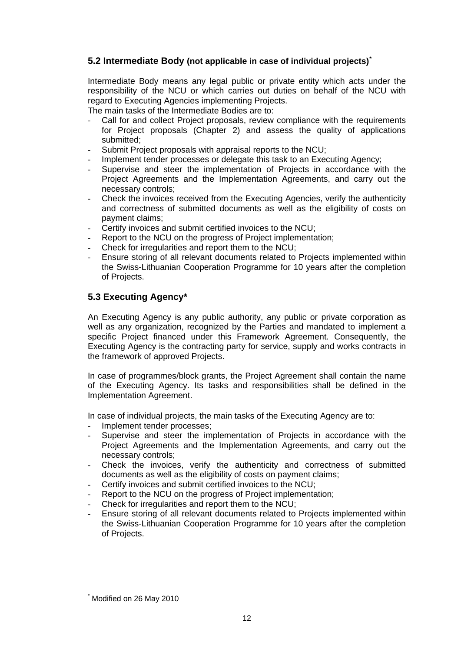## **5.2 Intermediate Body (not applicable in case of individual projects)[\\*](#page-11-0)**

Intermediate Body means any legal public or private entity which acts under the responsibility of the NCU or which carries out duties on behalf of the NCU with regard to Executing Agencies implementing Projects.

The main tasks of the Intermediate Bodies are to:

- Call for and collect Project proposals, review compliance with the requirements for Project proposals (Chapter 2) and assess the quality of applications submitted;
- Submit Project proposals with appraisal reports to the NCU;
- Implement tender processes or delegate this task to an Executing Agency;
- Supervise and steer the implementation of Projects in accordance with the Project Agreements and the Implementation Agreements, and carry out the necessary controls;
- Check the invoices received from the Executing Agencies, verify the authenticity and correctness of submitted documents as well as the eligibility of costs on payment claims;
- Certify invoices and submit certified invoices to the NCU:
- Report to the NCU on the progress of Project implementation;
- Check for irregularities and report them to the NCU:
- Ensure storing of all relevant documents related to Projects implemented within the Swiss-Lithuanian Cooperation Programme for 10 years after the completion of Projects.

## **5.3 Executing Agency\***

An Executing Agency is any public authority, any public or private corporation as well as any organization, recognized by the Parties and mandated to implement a specific Project financed under this Framework Agreement. Consequently, the Executing Agency is the contracting party for service, supply and works contracts in the framework of approved Projects.

In case of programmes/block grants, the Project Agreement shall contain the name of the Executing Agency. Its tasks and responsibilities shall be defined in the Implementation Agreement.

In case of individual projects, the main tasks of the Executing Agency are to:

- Implement tender processes:
- Supervise and steer the implementation of Projects in accordance with the Project Agreements and the Implementation Agreements, and carry out the necessary controls;
- Check the invoices, verify the authenticity and correctness of submitted documents as well as the eligibility of costs on payment claims;
- Certify invoices and submit certified invoices to the NCU;
- Report to the NCU on the progress of Project implementation;
- Check for irregularities and report them to the NCU:
- Ensure storing of all relevant documents related to Projects implemented within the Swiss-Lithuanian Cooperation Programme for 10 years after the completion of Projects.

<span id="page-11-0"></span> $\overline{a}$ \* Modified on 26 May 2010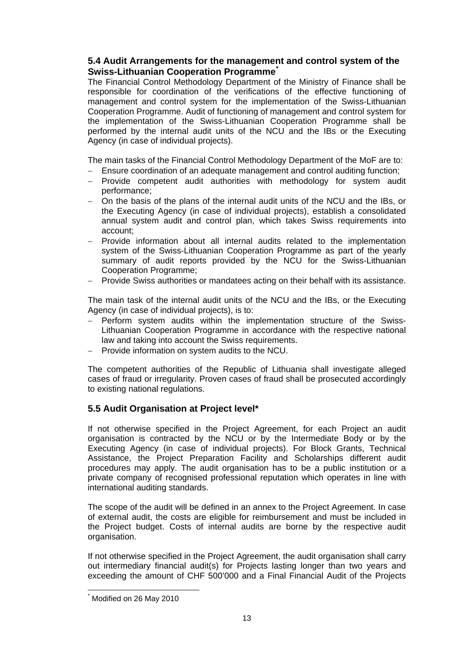### **5.4 Audit Arrangements for the management and control system of the Swiss-Lithuanian Cooperation Programme[\\*](#page-12-0)**

The Financial Control Methodology Department of the Ministry of Finance shall be responsible for coordination of the verifications of the effective functioning of management and control system for the implementation of the Swiss-Lithuanian Cooperation Programme. Audit of functioning of management and control system for the implementation of the Swiss-Lithuanian Cooperation Programme shall be performed by the internal audit units of the NCU and the IBs or the Executing Agency (in case of individual projects).

The main tasks of the Financial Control Methodology Department of the MoF are to:

- − Ensure coordination of an adequate management and control auditing function;
- − Provide competent audit authorities with methodology for system audit performance;
- − On the basis of the plans of the internal audit units of the NCU and the IBs, or the Executing Agency (in case of individual projects), establish a consolidated annual system audit and control plan, which takes Swiss requirements into account;
- − Provide information about all internal audits related to the implementation system of the Swiss-Lithuanian Cooperation Programme as part of the yearly summary of audit reports provided by the NCU for the Swiss-Lithuanian Cooperation Programme;
- − Provide Swiss authorities or mandatees acting on their behalf with its assistance.

The main task of the internal audit units of the NCU and the IBs, or the Executing Agency (in case of individual projects), is to:

- − Perform system audits within the implementation structure of the Swiss-Lithuanian Cooperation Programme in accordance with the respective national law and taking into account the Swiss requirements.
- − Provide information on system audits to the NCU.

The competent authorities of the Republic of Lithuania shall investigate alleged cases of fraud or irregularity. Proven cases of fraud shall be prosecuted accordingly to existing national regulations.

### **5.5 Audit Organisation at Project level\***

If not otherwise specified in the Project Agreement, for each Project an audit organisation is contracted by the NCU or by the Intermediate Body or by the Executing Agency (in case of individual projects). For Block Grants, Technical Assistance, the Project Preparation Facility and Scholarships different audit procedures may apply. The audit organisation has to be a public institution or a private company of recognised professional reputation which operates in line with international auditing standards.

The scope of the audit will be defined in an annex to the Project Agreement. In case of external audit, the costs are eligible for reimbursement and must be included in the Project budget. Costs of internal audits are borne by the respective audit organisation.

If not otherwise specified in the Project Agreement, the audit organisation shall carry out intermediary financial audit(s) for Projects lasting longer than two years and exceeding the amount of CHF 500'000 and a Final Financial Audit of the Projects

 $\overline{a}$ 

<span id="page-12-0"></span><sup>\*</sup> Modified on 26 May 2010